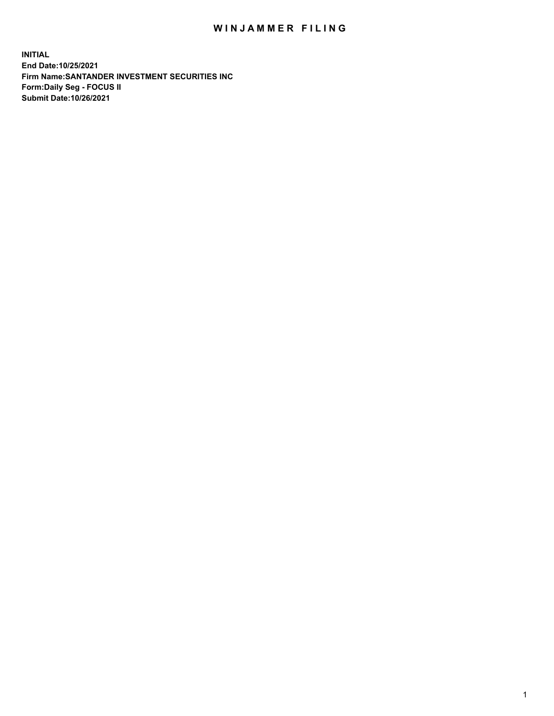## WIN JAMMER FILING

**INITIAL End Date:10/25/2021 Firm Name:SANTANDER INVESTMENT SECURITIES INC Form:Daily Seg - FOCUS II Submit Date:10/26/2021**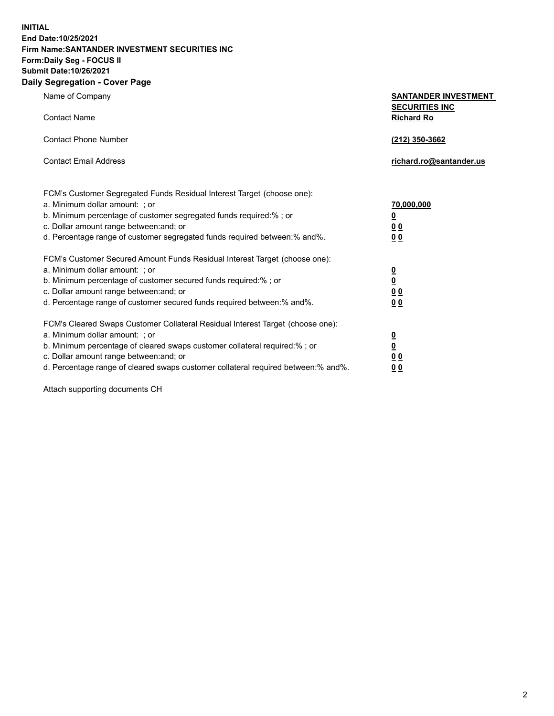**INITIAL End Date:10/25/2021 Firm Name:SANTANDER INVESTMENT SECURITIES INC Form:Daily Seg - FOCUS II Submit Date:10/26/2021 Daily Segregation - Cover Page**

| $-0.9$                                                                            |                                                      |
|-----------------------------------------------------------------------------------|------------------------------------------------------|
| Name of Company                                                                   | <b>SANTANDER INVESTMENT</b><br><b>SECURITIES INC</b> |
| <b>Contact Name</b>                                                               | <b>Richard Ro</b>                                    |
| <b>Contact Phone Number</b>                                                       | (212) 350-3662                                       |
| <b>Contact Email Address</b>                                                      | richard.ro@santander.us                              |
| FCM's Customer Segregated Funds Residual Interest Target (choose one):            |                                                      |
| a. Minimum dollar amount: ; or                                                    | <u>70,000,000</u>                                    |
| b. Minimum percentage of customer segregated funds required:% ; or                | <u>0</u>                                             |
| c. Dollar amount range between: and; or                                           | 00                                                   |
| d. Percentage range of customer segregated funds required between:% and%.         | 0 <sub>0</sub>                                       |
| FCM's Customer Secured Amount Funds Residual Interest Target (choose one):        |                                                      |
| a. Minimum dollar amount: ; or                                                    | $\frac{0}{0}$                                        |
| b. Minimum percentage of customer secured funds required:%; or                    |                                                      |
| c. Dollar amount range between: and; or                                           | 0 <sub>0</sub>                                       |
| d. Percentage range of customer secured funds required between:% and%.            | 0 <sub>0</sub>                                       |
| FCM's Cleared Swaps Customer Collateral Residual Interest Target (choose one):    |                                                      |
| a. Minimum dollar amount: ; or                                                    | $\frac{0}{0}$                                        |
| b. Minimum percentage of cleared swaps customer collateral required:% ; or        |                                                      |
| c. Dollar amount range between: and; or                                           | 00                                                   |
| d. Percentage range of cleared swaps customer collateral required between:% and%. | 00                                                   |

Attach supporting documents CH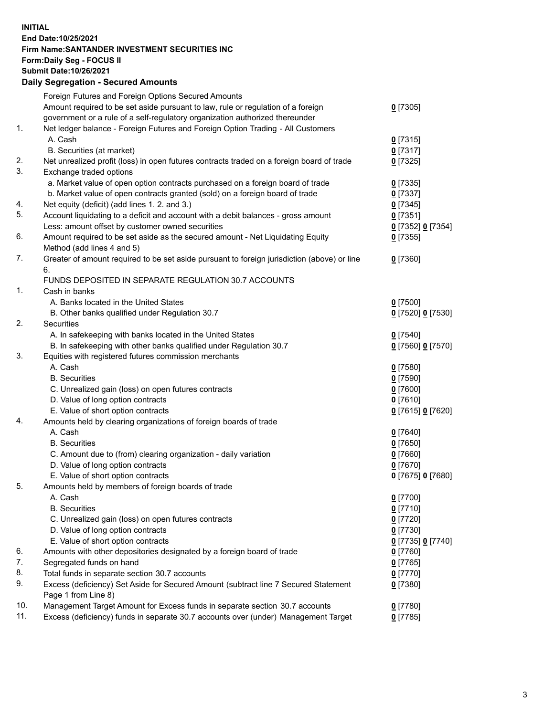## **INITIAL End Date:10/25/2021 Firm Name:SANTANDER INVESTMENT SECURITIES INC Form:Daily Seg - FOCUS II Submit Date:10/26/2021 Daily Segregation - Secured Amounts**

|     | Foreign Futures and Foreign Options Secured Amounts                                         |                   |
|-----|---------------------------------------------------------------------------------------------|-------------------|
|     | Amount required to be set aside pursuant to law, rule or regulation of a foreign            | $0$ [7305]        |
|     | government or a rule of a self-regulatory organization authorized thereunder                |                   |
| 1.  | Net ledger balance - Foreign Futures and Foreign Option Trading - All Customers             |                   |
|     | A. Cash                                                                                     | 0[7315]           |
|     | B. Securities (at market)                                                                   | $0$ [7317]        |
| 2.  | Net unrealized profit (loss) in open futures contracts traded on a foreign board of trade   | $0$ [7325]        |
| 3.  | Exchange traded options                                                                     |                   |
|     | a. Market value of open option contracts purchased on a foreign board of trade              | $0$ [7335]        |
|     | b. Market value of open contracts granted (sold) on a foreign board of trade                | $0$ [7337]        |
| 4.  | Net equity (deficit) (add lines 1. 2. and 3.)                                               | $0$ [7345]        |
| 5.  | Account liquidating to a deficit and account with a debit balances - gross amount           | $0$ [7351]        |
|     | Less: amount offset by customer owned securities                                            | 0 [7352] 0 [7354] |
| 6.  | Amount required to be set aside as the secured amount - Net Liquidating Equity              | $0$ [7355]        |
|     | Method (add lines 4 and 5)                                                                  |                   |
| 7.  | Greater of amount required to be set aside pursuant to foreign jurisdiction (above) or line | $0$ [7360]        |
|     | 6.                                                                                          |                   |
|     | FUNDS DEPOSITED IN SEPARATE REGULATION 30.7 ACCOUNTS                                        |                   |
| 1.  | Cash in banks                                                                               |                   |
|     | A. Banks located in the United States                                                       | $0$ [7500]        |
|     | B. Other banks qualified under Regulation 30.7                                              | 0 [7520] 0 [7530] |
| 2.  | <b>Securities</b>                                                                           |                   |
|     | A. In safekeeping with banks located in the United States                                   | $0$ [7540]        |
|     | B. In safekeeping with other banks qualified under Regulation 30.7                          | 0 [7560] 0 [7570] |
| 3.  | Equities with registered futures commission merchants                                       |                   |
|     | A. Cash                                                                                     | $0$ [7580]        |
|     | <b>B.</b> Securities                                                                        | $0$ [7590]        |
|     | C. Unrealized gain (loss) on open futures contracts                                         | $0$ [7600]        |
|     | D. Value of long option contracts                                                           | $0$ [7610]        |
|     | E. Value of short option contracts                                                          | 0 [7615] 0 [7620] |
| 4.  | Amounts held by clearing organizations of foreign boards of trade                           |                   |
|     | A. Cash                                                                                     | $0$ [7640]        |
|     | <b>B.</b> Securities                                                                        | $0$ [7650]        |
|     | C. Amount due to (from) clearing organization - daily variation                             | $0$ [7660]        |
|     | D. Value of long option contracts                                                           | $0$ [7670]        |
|     | E. Value of short option contracts                                                          | 0 [7675] 0 [7680] |
| 5.  | Amounts held by members of foreign boards of trade                                          |                   |
|     | A. Cash                                                                                     | $0$ [7700]        |
|     | <b>B.</b> Securities                                                                        | $0$ [7710]        |
|     | C. Unrealized gain (loss) on open futures contracts                                         | $0$ [7720]        |
|     | D. Value of long option contracts                                                           | $0$ [7730]        |
|     | E. Value of short option contracts                                                          | 0 [7735] 0 [7740] |
| 6.  | Amounts with other depositories designated by a foreign board of trade                      | $0$ [7760]        |
| 7.  | Segregated funds on hand                                                                    | $0$ [7765]        |
| 8.  | Total funds in separate section 30.7 accounts                                               | $0$ [7770]        |
| 9.  | Excess (deficiency) Set Aside for Secured Amount (subtract line 7 Secured Statement         | $0$ [7380]        |
|     | Page 1 from Line 8)                                                                         |                   |
| 10. | Management Target Amount for Excess funds in separate section 30.7 accounts                 | $0$ [7780]        |
| 11. | Excess (deficiency) funds in separate 30.7 accounts over (under) Management Target          | $0$ [7785]        |
|     |                                                                                             |                   |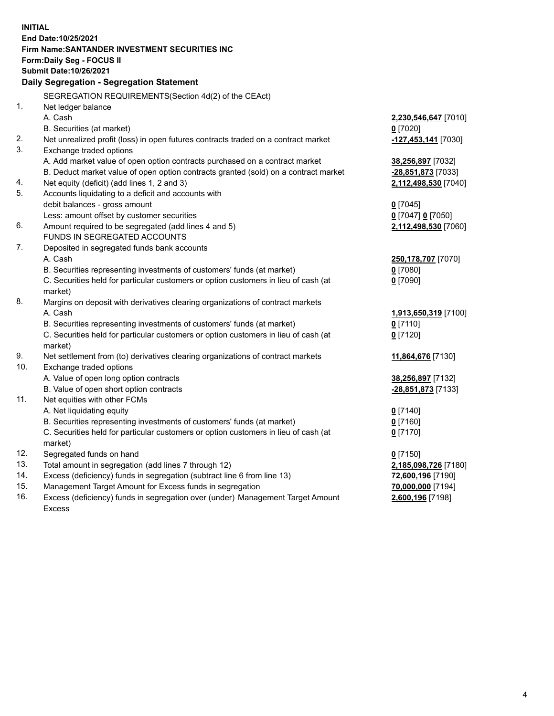| <b>INITIAL</b> |                                                                                                |                       |
|----------------|------------------------------------------------------------------------------------------------|-----------------------|
|                | End Date:10/25/2021                                                                            |                       |
|                | Firm Name: SANTANDER INVESTMENT SECURITIES INC                                                 |                       |
|                | Form: Daily Seg - FOCUS II                                                                     |                       |
|                | Submit Date: 10/26/2021                                                                        |                       |
|                | Daily Segregation - Segregation Statement                                                      |                       |
|                | SEGREGATION REQUIREMENTS(Section 4d(2) of the CEAct)                                           |                       |
| 1.             | Net ledger balance                                                                             |                       |
|                | A. Cash                                                                                        | 2,230,546,647 [7010]  |
|                | B. Securities (at market)                                                                      | $0$ [7020]            |
| 2.             | Net unrealized profit (loss) in open futures contracts traded on a contract market             | $-127,453,141$ [7030] |
| 3.             | Exchange traded options                                                                        |                       |
|                | A. Add market value of open option contracts purchased on a contract market                    | 38,256,897 [7032]     |
|                | B. Deduct market value of open option contracts granted (sold) on a contract market            | -28,851,873 [7033]    |
| 4.             | Net equity (deficit) (add lines 1, 2 and 3)                                                    | 2,112,498,530 [7040]  |
| 5.             | Accounts liquidating to a deficit and accounts with                                            |                       |
|                | debit balances - gross amount                                                                  | $0$ [7045]            |
|                | Less: amount offset by customer securities                                                     | 0 [7047] 0 [7050]     |
| 6.             | Amount required to be segregated (add lines 4 and 5)                                           | 2,112,498,530 [7060]  |
|                | FUNDS IN SEGREGATED ACCOUNTS                                                                   |                       |
| 7.             | Deposited in segregated funds bank accounts                                                    |                       |
|                | A. Cash                                                                                        | 250,178,707 [7070]    |
|                | B. Securities representing investments of customers' funds (at market)                         | $0$ [7080]            |
|                | C. Securities held for particular customers or option customers in lieu of cash (at            | $0$ [7090]            |
|                | market)                                                                                        |                       |
| 8.             | Margins on deposit with derivatives clearing organizations of contract markets                 |                       |
|                | A. Cash                                                                                        | 1,913,650,319 [7100]  |
|                | B. Securities representing investments of customers' funds (at market)                         | $0$ [7110]            |
|                | C. Securities held for particular customers or option customers in lieu of cash (at            | $0$ [7120]            |
|                | market)                                                                                        |                       |
| 9.             | Net settlement from (to) derivatives clearing organizations of contract markets                | 11,864,676 [7130]     |
| 10.            | Exchange traded options                                                                        |                       |
|                | A. Value of open long option contracts                                                         | 38,256,897 [7132]     |
|                | B. Value of open short option contracts                                                        | -28,851,873 [7133]    |
| 11.            | Net equities with other FCMs                                                                   |                       |
|                | A. Net liquidating equity                                                                      | $0$ [7140]            |
|                | B. Securities representing investments of customers' funds (at market)                         | $0$ [7160]            |
|                | C. Securities held for particular customers or option customers in lieu of cash (at<br>market) | $0$ [7170]            |
| 12.            | Segregated funds on hand                                                                       | $0$ [7150]            |
| 13.            | Total amount in segregation (add lines 7 through 12)                                           | 2,185,098,726 [7180]  |
| 14.            | Excess (deficiency) funds in segregation (subtract line 6 from line 13)                        | 72,600,196 [7190]     |
| 15.            | Management Target Amount for Excess funds in segregation                                       | 70,000,000 [7194]     |
| 16.            | Excess (deficiency) funds in segregation over (under) Management Target Amount                 | 2,600,196 [7198]      |
|                | Excess                                                                                         |                       |